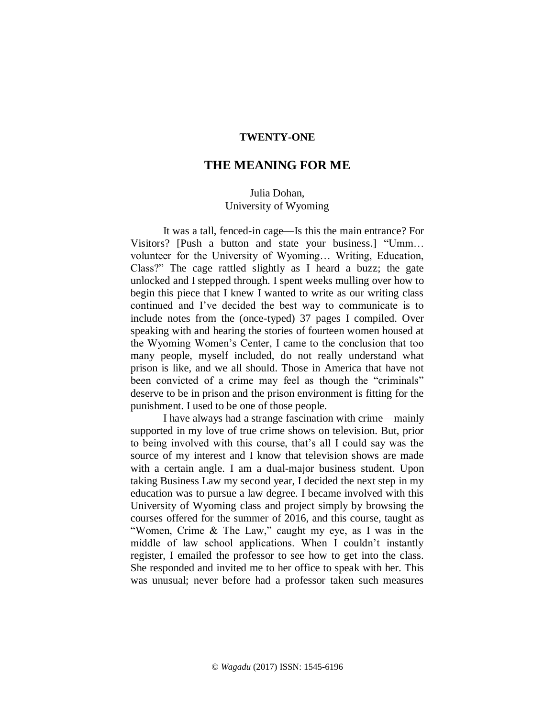## **TWENTY-ONE**

# **THE MEANING FOR ME**

## Julia Dohan, University of Wyoming

It was a tall, fenced-in cage—Is this the main entrance? For Visitors? [Push a button and state your business.] "Umm… volunteer for the University of Wyoming… Writing, Education, Class?" The cage rattled slightly as I heard a buzz; the gate unlocked and I stepped through. I spent weeks mulling over how to begin this piece that I knew I wanted to write as our writing class continued and I've decided the best way to communicate is to include notes from the (once-typed) 37 pages I compiled. Over speaking with and hearing the stories of fourteen women housed at the Wyoming Women's Center, I came to the conclusion that too many people, myself included, do not really understand what prison is like, and we all should. Those in America that have not been convicted of a crime may feel as though the "criminals" deserve to be in prison and the prison environment is fitting for the punishment. I used to be one of those people.

I have always had a strange fascination with crime—mainly supported in my love of true crime shows on television. But, prior to being involved with this course, that's all I could say was the source of my interest and I know that television shows are made with a certain angle. I am a dual-major business student. Upon taking Business Law my second year, I decided the next step in my education was to pursue a law degree. I became involved with this University of Wyoming class and project simply by browsing the courses offered for the summer of 2016, and this course, taught as "Women, Crime & The Law," caught my eye, as I was in the middle of law school applications. When I couldn't instantly register, I emailed the professor to see how to get into the class. She responded and invited me to her office to speak with her. This was unusual; never before had a professor taken such measures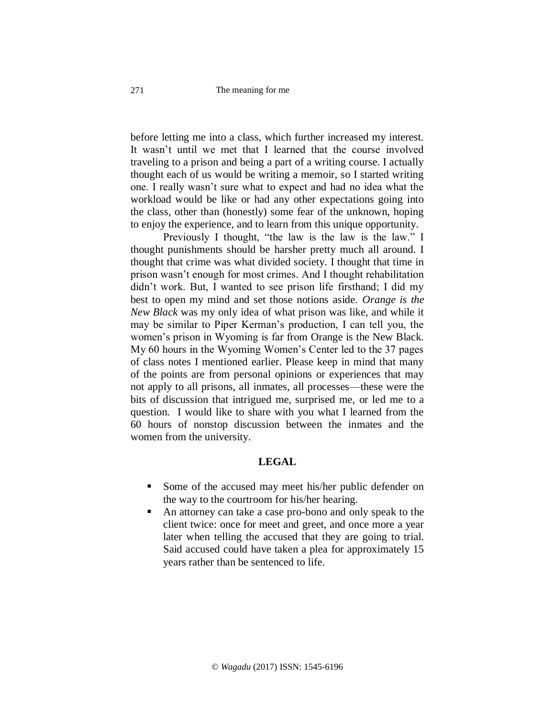before letting me into a class, which further increased my interest. It wasn't until we met that I learned that the course involved traveling to a prison and being a part of a writing course. I actually thought each of us would be writing a memoir, so I started writing one. I really wasn't sure what to expect and had no idea what the workload would be like or had any other expectations going into the class, other than (honestly) some fear of the unknown, hoping to enjoy the experience, and to learn from this unique opportunity.

Previously I thought, "the law is the law is the law." I thought punishments should be harsher pretty much all around. I thought that crime was what divided society. I thought that time in prison wasn't enough for most crimes. And I thought rehabilitation didn't work. But, I wanted to see prison life firsthand; I did my best to open my mind and set those notions aside. *Orange is the New Black* was my only idea of what prison was like, and while it may be similar to Piper Kerman's production, I can tell you, the women's prison in Wyoming is far from Orange is the New Black. My 60 hours in the Wyoming Women's Center led to the 37 pages of class notes I mentioned earlier. Please keep in mind that many of the points are from personal opinions or experiences that may not apply to all prisons, all inmates, all processes—these were the bits of discussion that intrigued me, surprised me, or led me to a question. I would like to share with you what I learned from the 60 hours of nonstop discussion between the inmates and the women from the university.

# **LEGAL**

- Some of the accused may meet his/her public defender on the way to the courtroom for his/her hearing.
- An attorney can take a case pro-bono and only speak to the client twice: once for meet and greet, and once more a year later when telling the accused that they are going to trial. Said accused could have taken a plea for approximately 15 years rather than be sentenced to life.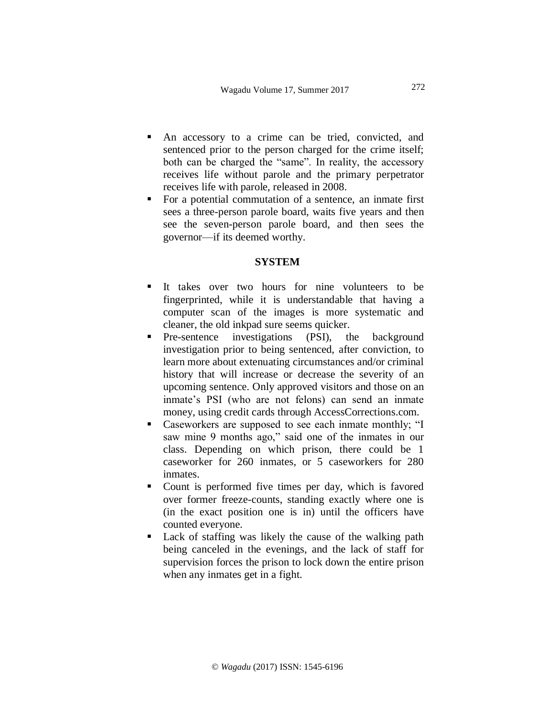- An accessory to a crime can be tried, convicted, and sentenced prior to the person charged for the crime itself; both can be charged the "same". In reality, the accessory receives life without parole and the primary perpetrator receives life with parole, released in 2008.
- For a potential commutation of a sentence, an inmate first sees a three-person parole board, waits five years and then see the seven-person parole board, and then sees the governor—if its deemed worthy.

### **SYSTEM**

- It takes over two hours for nine volunteers to be fingerprinted, while it is understandable that having a computer scan of the images is more systematic and cleaner, the old inkpad sure seems quicker.
- **•** Pre-sentence investigations (PSI), the background investigation prior to being sentenced, after conviction, to learn more about extenuating circumstances and/or criminal history that will increase or decrease the severity of an upcoming sentence. Only approved visitors and those on an inmate's PSI (who are not felons) can send an inmate money, using credit cards through AccessCorrections.com.
- Caseworkers are supposed to see each inmate monthly; "I saw mine 9 months ago," said one of the inmates in our class. Depending on which prison, there could be 1 caseworker for 260 inmates, or 5 caseworkers for 280 inmates.
- Count is performed five times per day, which is favored over former freeze-counts, standing exactly where one is (in the exact position one is in) until the officers have counted everyone.
- Lack of staffing was likely the cause of the walking path being canceled in the evenings, and the lack of staff for supervision forces the prison to lock down the entire prison when any inmates get in a fight.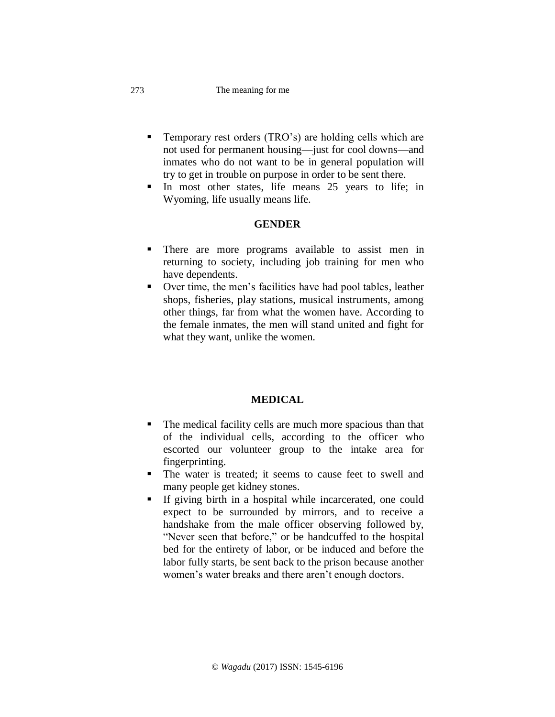#### The meaning for me

- Temporary rest orders (TRO's) are holding cells which are not used for permanent housing—just for cool downs—and inmates who do not want to be in general population will try to get in trouble on purpose in order to be sent there.
- **If** In most other states, life means 25 years to life; in Wyoming, life usually means life.

## **GENDER**

- There are more programs available to assist men in returning to society, including job training for men who have dependents.
- Over time, the men's facilities have had pool tables, leather shops, fisheries, play stations, musical instruments, among other things, far from what the women have. According to the female inmates, the men will stand united and fight for what they want, unlike the women.

## **MEDICAL**

- The medical facility cells are much more spacious than that of the individual cells, according to the officer who escorted our volunteer group to the intake area for fingerprinting.
- The water is treated; it seems to cause feet to swell and many people get kidney stones.
- If giving birth in a hospital while incarcerated, one could expect to be surrounded by mirrors, and to receive a handshake from the male officer observing followed by, "Never seen that before," or be handcuffed to the hospital bed for the entirety of labor, or be induced and before the labor fully starts, be sent back to the prison because another women's water breaks and there aren't enough doctors.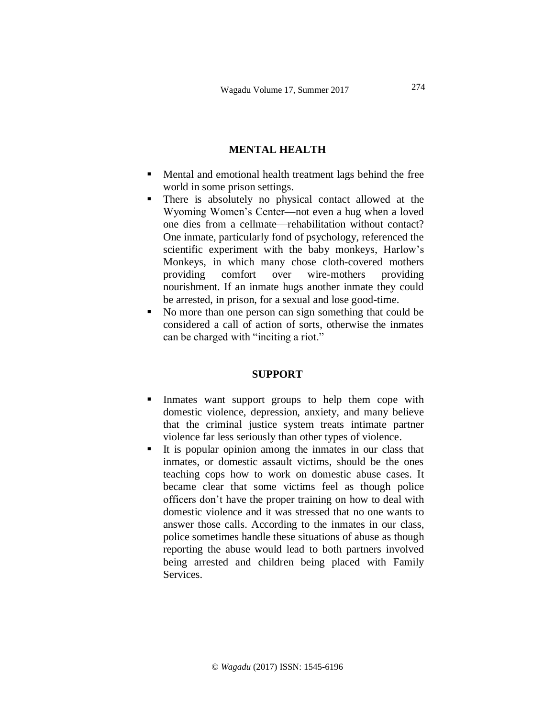# **MENTAL HEALTH**

- Mental and emotional health treatment lags behind the free world in some prison settings.
- There is absolutely no physical contact allowed at the Wyoming Women's Center—not even a hug when a loved one dies from a cellmate—rehabilitation without contact? One inmate, particularly fond of psychology, referenced the scientific experiment with the baby monkeys, Harlow's Monkeys, in which many chose cloth-covered mothers providing comfort over wire-mothers providing nourishment. If an inmate hugs another inmate they could be arrested, in prison, for a sexual and lose good-time.
- No more than one person can sign something that could be considered a call of action of sorts, otherwise the inmates can be charged with "inciting a riot."

### **SUPPORT**

- Inmates want support groups to help them cope with domestic violence, depression, anxiety, and many believe that the criminal justice system treats intimate partner violence far less seriously than other types of violence.
- It is popular opinion among the inmates in our class that inmates, or domestic assault victims, should be the ones teaching cops how to work on domestic abuse cases. It became clear that some victims feel as though police officers don't have the proper training on how to deal with domestic violence and it was stressed that no one wants to answer those calls. According to the inmates in our class, police sometimes handle these situations of abuse as though reporting the abuse would lead to both partners involved being arrested and children being placed with Family **Services**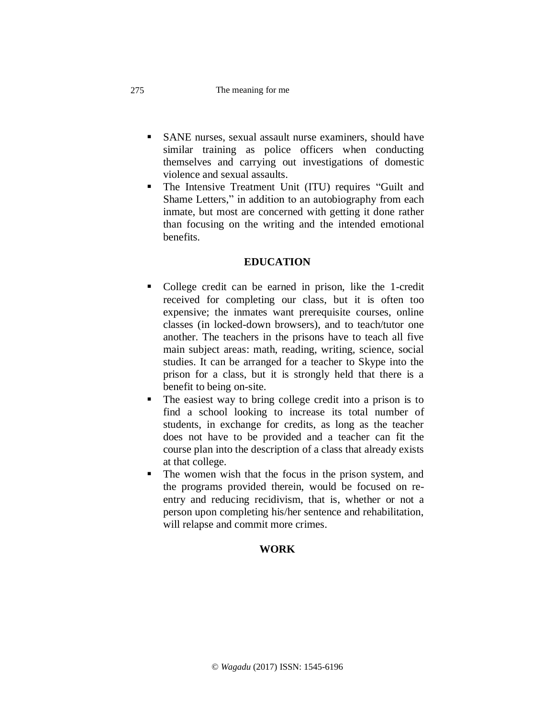#### The meaning for me

- SANE nurses, sexual assault nurse examiners, should have similar training as police officers when conducting themselves and carrying out investigations of domestic violence and sexual assaults.
- The Intensive Treatment Unit (ITU) requires "Guilt and Shame Letters," in addition to an autobiography from each inmate, but most are concerned with getting it done rather than focusing on the writing and the intended emotional benefits.

## **EDUCATION**

- College credit can be earned in prison, like the 1-credit received for completing our class, but it is often too expensive; the inmates want prerequisite courses, online classes (in locked-down browsers), and to teach/tutor one another. The teachers in the prisons have to teach all five main subject areas: math, reading, writing, science, social studies. It can be arranged for a teacher to Skype into the prison for a class, but it is strongly held that there is a benefit to being on-site.
- The easiest way to bring college credit into a prison is to find a school looking to increase its total number of students, in exchange for credits, as long as the teacher does not have to be provided and a teacher can fit the course plan into the description of a class that already exists at that college.
- The women wish that the focus in the prison system, and the programs provided therein, would be focused on reentry and reducing recidivism, that is, whether or not a person upon completing his/her sentence and rehabilitation, will relapse and commit more crimes.

# **WORK**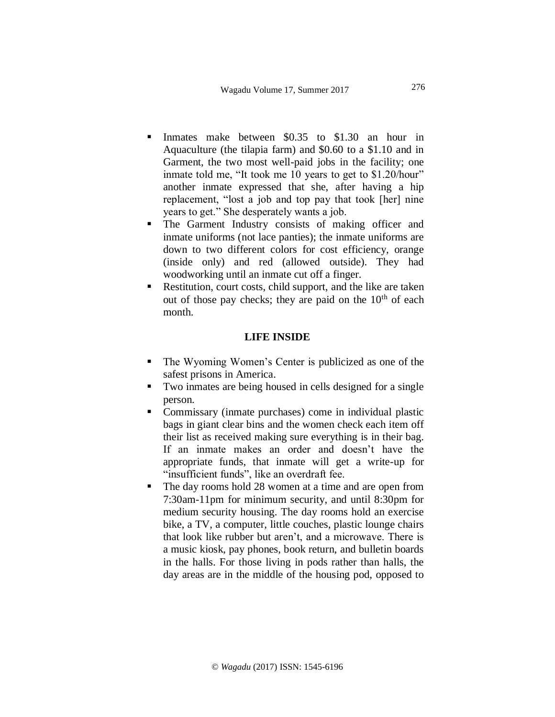- Inmates make between \$0.35 to \$1.30 an hour in Aquaculture (the tilapia farm) and \$0.60 to a \$1.10 and in Garment, the two most well-paid jobs in the facility; one inmate told me, "It took me 10 years to get to \$1.20/hour" another inmate expressed that she, after having a hip replacement, "lost a job and top pay that took [her] nine years to get." She desperately wants a job.
- The Garment Industry consists of making officer and inmate uniforms (not lace panties); the inmate uniforms are down to two different colors for cost efficiency, orange (inside only) and red (allowed outside). They had woodworking until an inmate cut off a finger.
- Restitution, court costs, child support, and the like are taken out of those pay checks; they are paid on the  $10<sup>th</sup>$  of each month.

### **LIFE INSIDE**

- The Wyoming Women's Center is publicized as one of the safest prisons in America.
- Two inmates are being housed in cells designed for a single person.
- Commissary (inmate purchases) come in individual plastic bags in giant clear bins and the women check each item off their list as received making sure everything is in their bag. If an inmate makes an order and doesn't have the appropriate funds, that inmate will get a write-up for "insufficient funds", like an overdraft fee.
- The day rooms hold 28 women at a time and are open from 7:30am-11pm for minimum security, and until 8:30pm for medium security housing. The day rooms hold an exercise bike, a TV, a computer, little couches, plastic lounge chairs that look like rubber but aren't, and a microwave. There is a music kiosk, pay phones, book return, and bulletin boards in the halls. For those living in pods rather than halls, the day areas are in the middle of the housing pod, opposed to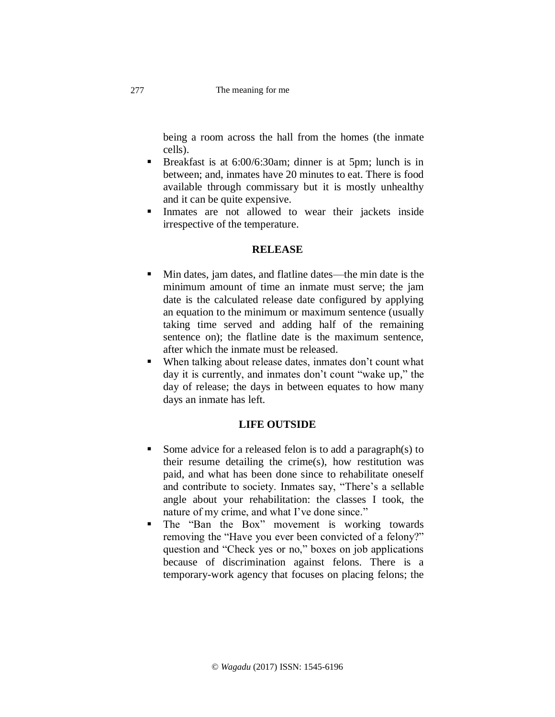being a room across the hall from the homes (the inmate cells).

- Breakfast is at  $6:00/6:30$ am; dinner is at 5pm; lunch is in between; and, inmates have 20 minutes to eat. There is food available through commissary but it is mostly unhealthy and it can be quite expensive.
- Inmates are not allowed to wear their jackets inside irrespective of the temperature.

## **RELEASE**

- Min dates, jam dates, and flatline dates—the min date is the minimum amount of time an inmate must serve; the jam date is the calculated release date configured by applying an equation to the minimum or maximum sentence (usually taking time served and adding half of the remaining sentence on); the flatline date is the maximum sentence, after which the inmate must be released.
- When talking about release dates, inmates don't count what day it is currently, and inmates don't count "wake up," the day of release; the days in between equates to how many days an inmate has left.

## **LIFE OUTSIDE**

- Some advice for a released felon is to add a paragraph(s) to their resume detailing the crime(s), how restitution was paid, and what has been done since to rehabilitate oneself and contribute to society. Inmates say, "There's a sellable angle about your rehabilitation: the classes I took, the nature of my crime, and what I've done since."
- The "Ban the Box" movement is working towards removing the "Have you ever been convicted of a felony?" question and "Check yes or no," boxes on job applications because of discrimination against felons. There is a temporary-work agency that focuses on placing felons; the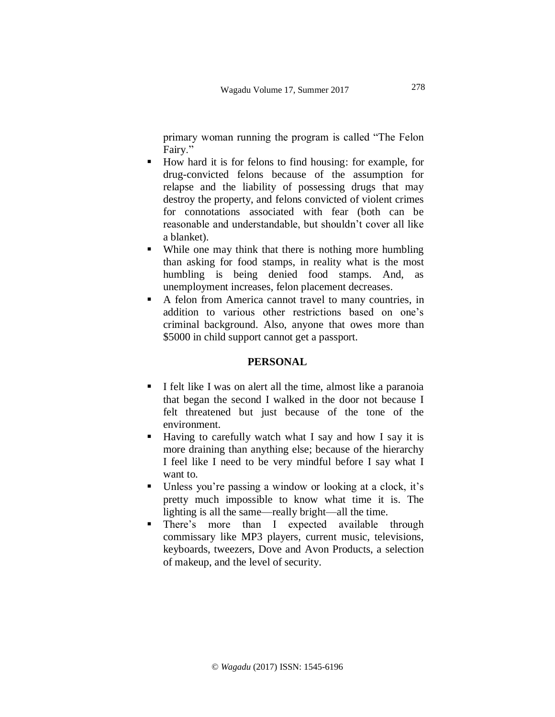primary woman running the program is called "The Felon Fairy."

- How hard it is for felons to find housing: for example, for drug-convicted felons because of the assumption for relapse and the liability of possessing drugs that may destroy the property, and felons convicted of violent crimes for connotations associated with fear (both can be reasonable and understandable, but shouldn't cover all like a blanket).
- While one may think that there is nothing more humbling than asking for food stamps, in reality what is the most humbling is being denied food stamps. And, as unemployment increases, felon placement decreases.
- A felon from America cannot travel to many countries, in addition to various other restrictions based on one's criminal background. Also, anyone that owes more than \$5000 in child support cannot get a passport.

## **PERSONAL**

- I felt like I was on alert all the time, almost like a paranoia that began the second I walked in the door not because I felt threatened but just because of the tone of the environment.
- Having to carefully watch what I say and how I say it is more draining than anything else; because of the hierarchy I feel like I need to be very mindful before I say what I want to.
- Unless you're passing a window or looking at a clock, it's pretty much impossible to know what time it is. The lighting is all the same—really bright—all the time.
- There's more than I expected available through commissary like MP3 players, current music, televisions, keyboards, tweezers, Dove and Avon Products, a selection of makeup, and the level of security.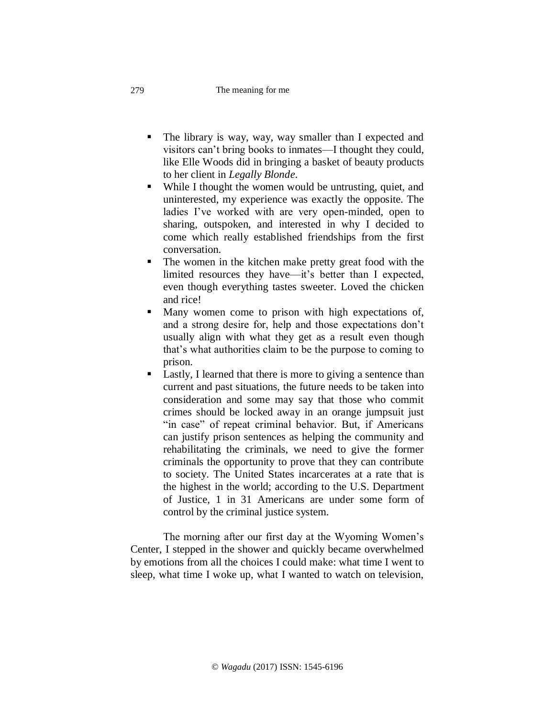#### The meaning for me

- The library is way, way, way smaller than I expected and visitors can't bring books to inmates—I thought they could, like Elle Woods did in bringing a basket of beauty products to her client in *Legally Blonde*.
- While I thought the women would be untrusting, quiet, and uninterested, my experience was exactly the opposite. The ladies I've worked with are very open-minded, open to sharing, outspoken, and interested in why I decided to come which really established friendships from the first conversation.
- The women in the kitchen make pretty great food with the limited resources they have—it's better than I expected, even though everything tastes sweeter. Loved the chicken and rice!
- Many women come to prison with high expectations of, and a strong desire for, help and those expectations don't usually align with what they get as a result even though that's what authorities claim to be the purpose to coming to prison.
- Lastly, I learned that there is more to giving a sentence than current and past situations, the future needs to be taken into consideration and some may say that those who commit crimes should be locked away in an orange jumpsuit just "in case" of repeat criminal behavior. But, if Americans can justify prison sentences as helping the community and rehabilitating the criminals, we need to give the former criminals the opportunity to prove that they can contribute to society. The United States incarcerates at a rate that is the highest in the world; according to the U.S. Department of Justice, 1 in 31 Americans are under some form of control by the criminal justice system.

The morning after our first day at the Wyoming Women's Center, I stepped in the shower and quickly became overwhelmed by emotions from all the choices I could make: what time I went to sleep, what time I woke up, what I wanted to watch on television,

279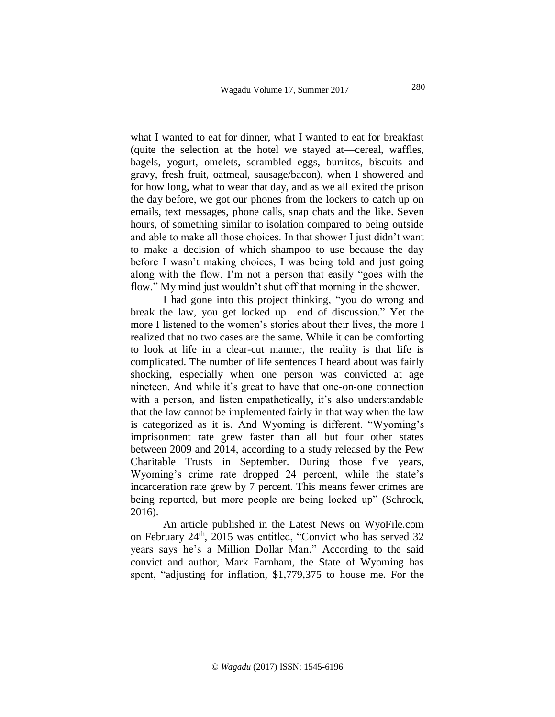what I wanted to eat for dinner, what I wanted to eat for breakfast (quite the selection at the hotel we stayed at—cereal, waffles, bagels, yogurt, omelets, scrambled eggs, burritos, biscuits and gravy, fresh fruit, oatmeal, sausage/bacon), when I showered and for how long, what to wear that day, and as we all exited the prison the day before, we got our phones from the lockers to catch up on emails, text messages, phone calls, snap chats and the like. Seven hours, of something similar to isolation compared to being outside and able to make all those choices. In that shower I just didn't want to make a decision of which shampoo to use because the day before I wasn't making choices, I was being told and just going along with the flow. I'm not a person that easily "goes with the flow." My mind just wouldn't shut off that morning in the shower.

I had gone into this project thinking, "you do wrong and break the law, you get locked up—end of discussion." Yet the more I listened to the women's stories about their lives, the more I realized that no two cases are the same. While it can be comforting to look at life in a clear-cut manner, the reality is that life is complicated. The number of life sentences I heard about was fairly shocking, especially when one person was convicted at age nineteen. And while it's great to have that one-on-one connection with a person, and listen empathetically, it's also understandable that the law cannot be implemented fairly in that way when the law is categorized as it is. And Wyoming is different. "Wyoming's imprisonment rate grew faster than all but four other states between 2009 and 2014, according to a study released by the Pew Charitable Trusts in September. During those five years, Wyoming's crime rate dropped 24 percent, while the state's incarceration rate grew by 7 percent. This means fewer crimes are being reported, but more people are being locked up" (Schrock, 2016).

An article published in the Latest News on WyoFile.com on February 24th, 2015 was entitled, "Convict who has served 32 years says he's a Million Dollar Man." According to the said convict and author, Mark Farnham, the State of Wyoming has spent, "adjusting for inflation, \$1,779,375 to house me. For the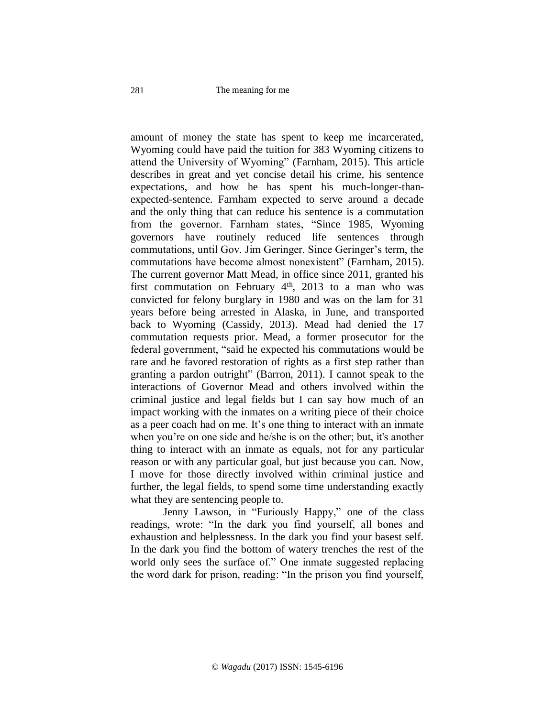amount of money the state has spent to keep me incarcerated, Wyoming could have paid the tuition for 383 Wyoming citizens to attend the University of Wyoming" (Farnham, 2015). This article describes in great and yet concise detail his crime, his sentence expectations, and how he has spent his much-longer-thanexpected-sentence. Farnham expected to serve around a decade and the only thing that can reduce his sentence is a commutation from the governor. Farnham states, "Since 1985, Wyoming governors have routinely reduced life sentences through commutations, until Gov. Jim Geringer. Since Geringer's term, the commutations have become almost nonexistent" (Farnham, 2015). The current governor Matt Mead, in office since 2011, granted his first commutation on February  $4<sup>th</sup>$ , 2013 to a man who was convicted for felony burglary in 1980 and was on the lam for 31 years before being arrested in Alaska, in June, and transported back to Wyoming (Cassidy, 2013). Mead had denied the 17 commutation requests prior. Mead, a former prosecutor for the federal government, "said he expected his commutations would be rare and he favored restoration of rights as a first step rather than granting a pardon outright" (Barron, 2011). I cannot speak to the interactions of Governor Mead and others involved within the criminal justice and legal fields but I can say how much of an impact working with the inmates on a writing piece of their choice as a peer coach had on me. It's one thing to interact with an inmate when you're on one side and he/she is on the other; but, it's another thing to interact with an inmate as equals, not for any particular reason or with any particular goal, but just because you can. Now, I move for those directly involved within criminal justice and further, the legal fields, to spend some time understanding exactly what they are sentencing people to.

Jenny Lawson, in "Furiously Happy," one of the class readings, wrote: "In the dark you find yourself, all bones and exhaustion and helplessness. In the dark you find your basest self. In the dark you find the bottom of watery trenches the rest of the world only sees the surface of." One inmate suggested replacing the word dark for prison, reading: "In the prison you find yourself,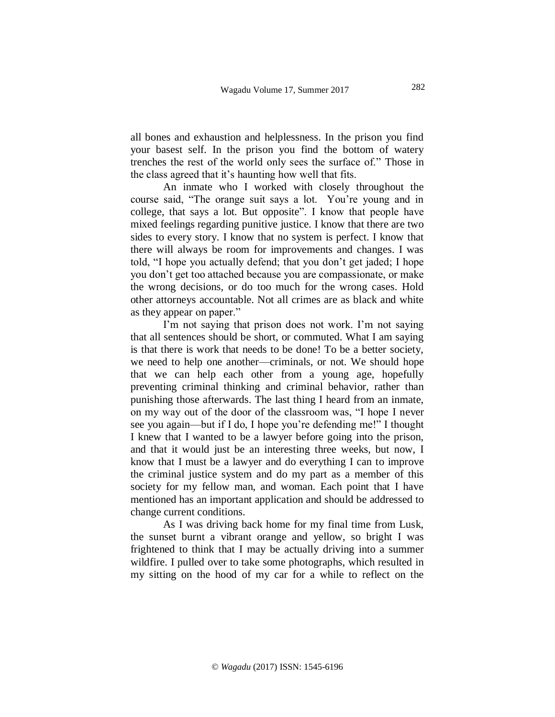all bones and exhaustion and helplessness. In the prison you find your basest self. In the prison you find the bottom of watery trenches the rest of the world only sees the surface of." Those in the class agreed that it's haunting how well that fits.

An inmate who I worked with closely throughout the course said, "The orange suit says a lot. You're young and in college, that says a lot. But opposite". I know that people have mixed feelings regarding punitive justice. I know that there are two sides to every story. I know that no system is perfect. I know that there will always be room for improvements and changes. I was told, "I hope you actually defend; that you don't get jaded; I hope you don't get too attached because you are compassionate, or make the wrong decisions, or do too much for the wrong cases. Hold other attorneys accountable. Not all crimes are as black and white as they appear on paper."

I'm not saying that prison does not work. I'm not saying that all sentences should be short, or commuted. What I am saying is that there is work that needs to be done! To be a better society, we need to help one another—criminals, or not. We should hope that we can help each other from a young age, hopefully preventing criminal thinking and criminal behavior, rather than punishing those afterwards. The last thing I heard from an inmate, on my way out of the door of the classroom was, "I hope I never see you again—but if I do, I hope you're defending me!" I thought I knew that I wanted to be a lawyer before going into the prison, and that it would just be an interesting three weeks, but now, I know that I must be a lawyer and do everything I can to improve the criminal justice system and do my part as a member of this society for my fellow man, and woman. Each point that I have mentioned has an important application and should be addressed to change current conditions.

As I was driving back home for my final time from Lusk, the sunset burnt a vibrant orange and yellow, so bright I was frightened to think that I may be actually driving into a summer wildfire. I pulled over to take some photographs, which resulted in my sitting on the hood of my car for a while to reflect on the